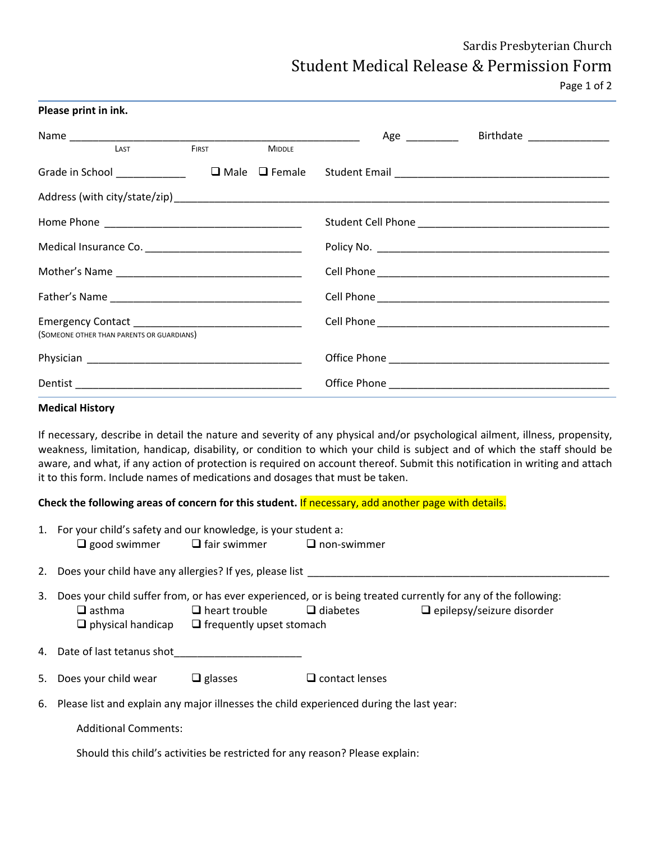# Sardis Presbyterian Church Student Medical Release & Permission Form

Page 1 of 2

| Please print in ink.                      |       |               |                                             |  |  |  |
|-------------------------------------------|-------|---------------|---------------------------------------------|--|--|--|
|                                           |       |               | Birthdate _______________<br>Age __________ |  |  |  |
| LAST                                      | FIRST | <b>MIDDLE</b> |                                             |  |  |  |
|                                           |       |               |                                             |  |  |  |
|                                           |       |               |                                             |  |  |  |
|                                           |       |               |                                             |  |  |  |
|                                           |       |               |                                             |  |  |  |
|                                           |       |               |                                             |  |  |  |
|                                           |       |               |                                             |  |  |  |
| (SOMEONE OTHER THAN PARENTS OR GUARDIANS) |       |               |                                             |  |  |  |
|                                           |       |               |                                             |  |  |  |
|                                           |       |               |                                             |  |  |  |

#### **Medical History**

If necessary, describe in detail the nature and severity of any physical and/or psychological ailment, illness, propensity, weakness, limitation, handicap, disability, or condition to which your child is subject and of which the staff should be aware, and what, if any action of protection is required on account thereof. Submit this notification in writing and attach it to this form. Include names of medications and dosages that must be taken.

**Check the following areas of concern for this student.** If necessary, add another page with details.

| 1. For your child's safety and our knowledge, is your student a: |                     |                    |  |  |
|------------------------------------------------------------------|---------------------|--------------------|--|--|
| $\Box$ good swimmer                                              | $\Box$ fair swimmer | $\Box$ non-swimmer |  |  |

- 2. Does your child have any allergies? If yes, please list
- 3. Does your child suffer from, or has ever experienced, or is being treated currently for any of the following:  $\Box$  asthma  $\Box$  heart trouble  $\Box$  diabetes  $\Box$  epilepsy/seizure disorder  $\Box$  physical handicap  $\Box$  frequently upset stomach
- 4. Date of last tetanus shot
- 5. Does your child wear  $\Box$  glasses  $\Box$  contact lenses
- 6. Please list and explain any major illnesses the child experienced during the last year:

Additional Comments:

Should this child's activities be restricted for any reason? Please explain: